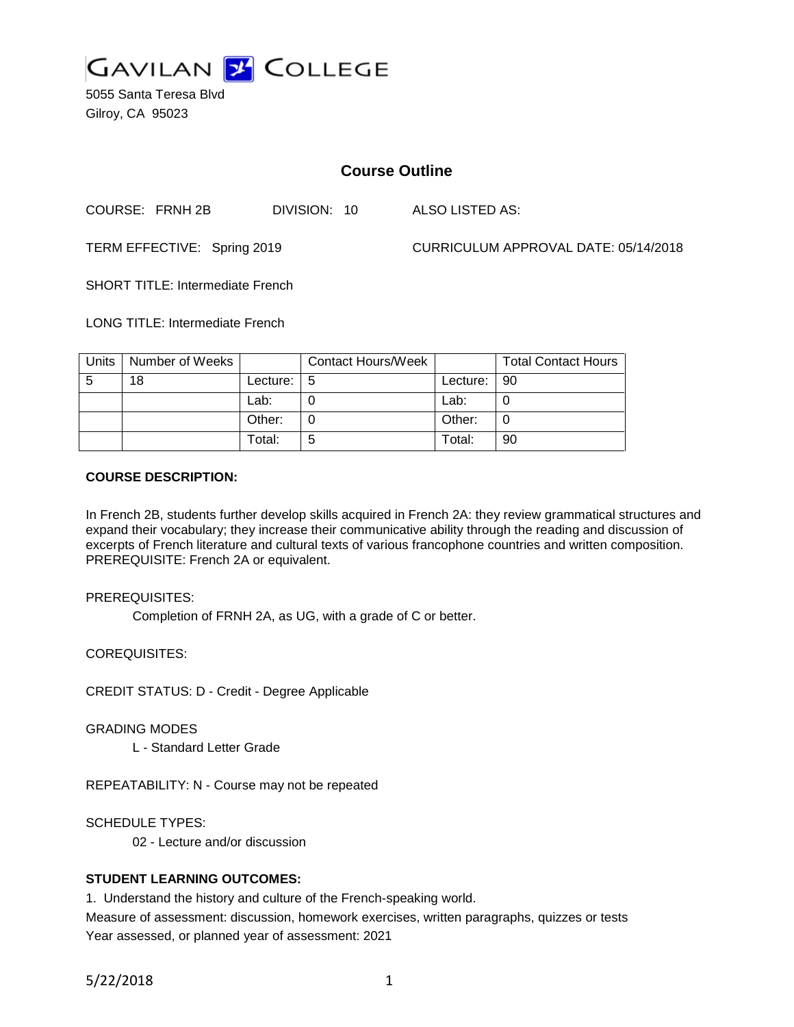

5055 Santa Teresa Blvd Gilroy, CA 95023

# **Course Outline**

COURSE: FRNH 2B DIVISION: 10 ALSO LISTED AS:

TERM EFFECTIVE: Spring 2019 CURRICULUM APPROVAL DATE: 05/14/2018

SHORT TITLE: Intermediate French

LONG TITLE: Intermediate French

| Units | Number of Weeks |          | <b>Contact Hours/Week</b> |          | <b>Total Contact Hours</b> |
|-------|-----------------|----------|---------------------------|----------|----------------------------|
| -5    | 18              | Lecture: | -5                        | Lecture: | 90                         |
|       |                 | Lab:     |                           | Lab:     |                            |
|       |                 | Other:   |                           | Other:   | 0                          |
|       |                 | Total:   | 5                         | Total:   | 90                         |

#### **COURSE DESCRIPTION:**

In French 2B, students further develop skills acquired in French 2A: they review grammatical structures and expand their vocabulary; they increase their communicative ability through the reading and discussion of excerpts of French literature and cultural texts of various francophone countries and written composition. PREREQUISITE: French 2A or equivalent.

PREREQUISITES:

Completion of FRNH 2A, as UG, with a grade of C or better.

COREQUISITES:

CREDIT STATUS: D - Credit - Degree Applicable

GRADING MODES

L - Standard Letter Grade

REPEATABILITY: N - Course may not be repeated

SCHEDULE TYPES:

02 - Lecture and/or discussion

## **STUDENT LEARNING OUTCOMES:**

1. Understand the history and culture of the French-speaking world.

Measure of assessment: discussion, homework exercises, written paragraphs, quizzes or tests Year assessed, or planned year of assessment: 2021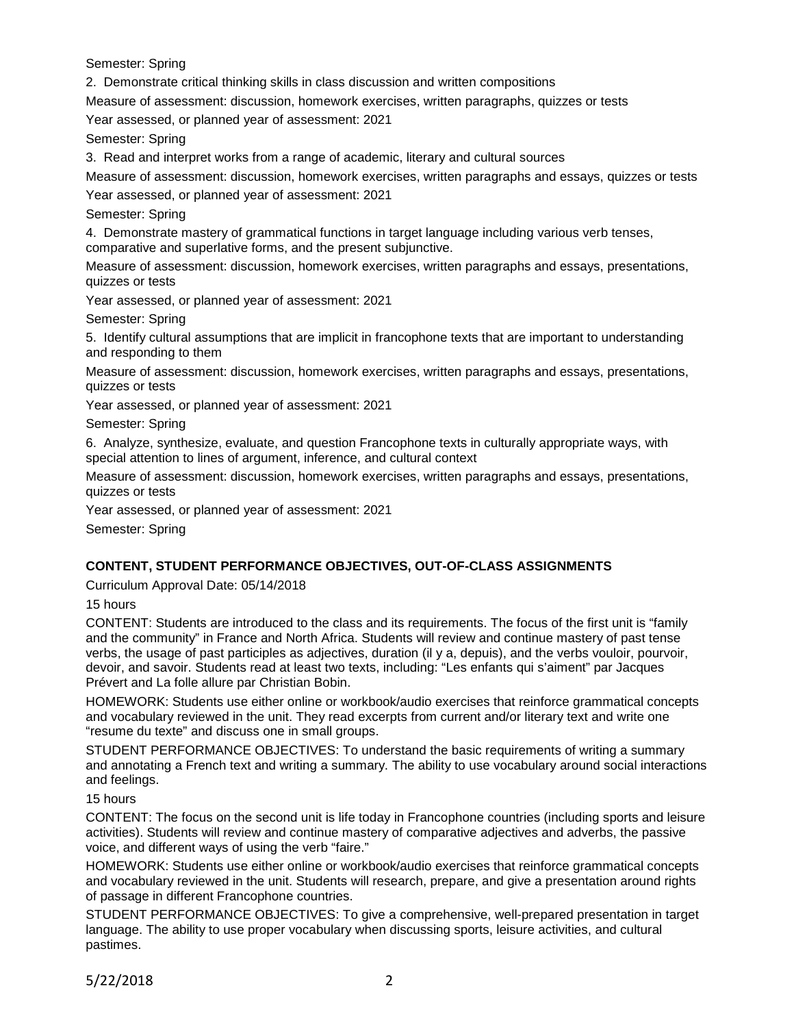Semester: Spring

2. Demonstrate critical thinking skills in class discussion and written compositions

Measure of assessment: discussion, homework exercises, written paragraphs, quizzes or tests

Year assessed, or planned year of assessment: 2021

Semester: Spring

3. Read and interpret works from a range of academic, literary and cultural sources

Measure of assessment: discussion, homework exercises, written paragraphs and essays, quizzes or tests

Year assessed, or planned year of assessment: 2021

Semester: Spring

4. Demonstrate mastery of grammatical functions in target language including various verb tenses, comparative and superlative forms, and the present subjunctive.

Measure of assessment: discussion, homework exercises, written paragraphs and essays, presentations, quizzes or tests

Year assessed, or planned year of assessment: 2021

Semester: Spring

5. Identify cultural assumptions that are implicit in francophone texts that are important to understanding and responding to them

Measure of assessment: discussion, homework exercises, written paragraphs and essays, presentations, quizzes or tests

Year assessed, or planned year of assessment: 2021

Semester: Spring

6. Analyze, synthesize, evaluate, and question Francophone texts in culturally appropriate ways, with special attention to lines of argument, inference, and cultural context

Measure of assessment: discussion, homework exercises, written paragraphs and essays, presentations, quizzes or tests

Year assessed, or planned year of assessment: 2021

Semester: Spring

## **CONTENT, STUDENT PERFORMANCE OBJECTIVES, OUT-OF-CLASS ASSIGNMENTS**

Curriculum Approval Date: 05/14/2018

15 hours

CONTENT: Students are introduced to the class and its requirements. The focus of the first unit is "family and the community" in France and North Africa. Students will review and continue mastery of past tense verbs, the usage of past participles as adjectives, duration (il y a, depuis), and the verbs vouloir, pourvoir, devoir, and savoir. Students read at least two texts, including: "Les enfants qui s'aiment" par Jacques Prévert and La folle allure par Christian Bobin.

HOMEWORK: Students use either online or workbook/audio exercises that reinforce grammatical concepts and vocabulary reviewed in the unit. They read excerpts from current and/or literary text and write one "resume du texte" and discuss one in small groups.

STUDENT PERFORMANCE OBJECTIVES: To understand the basic requirements of writing a summary and annotating a French text and writing a summary. The ability to use vocabulary around social interactions and feelings.

15 hours

CONTENT: The focus on the second unit is life today in Francophone countries (including sports and leisure activities). Students will review and continue mastery of comparative adjectives and adverbs, the passive voice, and different ways of using the verb "faire."

HOMEWORK: Students use either online or workbook/audio exercises that reinforce grammatical concepts and vocabulary reviewed in the unit. Students will research, prepare, and give a presentation around rights of passage in different Francophone countries.

STUDENT PERFORMANCE OBJECTIVES: To give a comprehensive, well-prepared presentation in target language. The ability to use proper vocabulary when discussing sports, leisure activities, and cultural pastimes.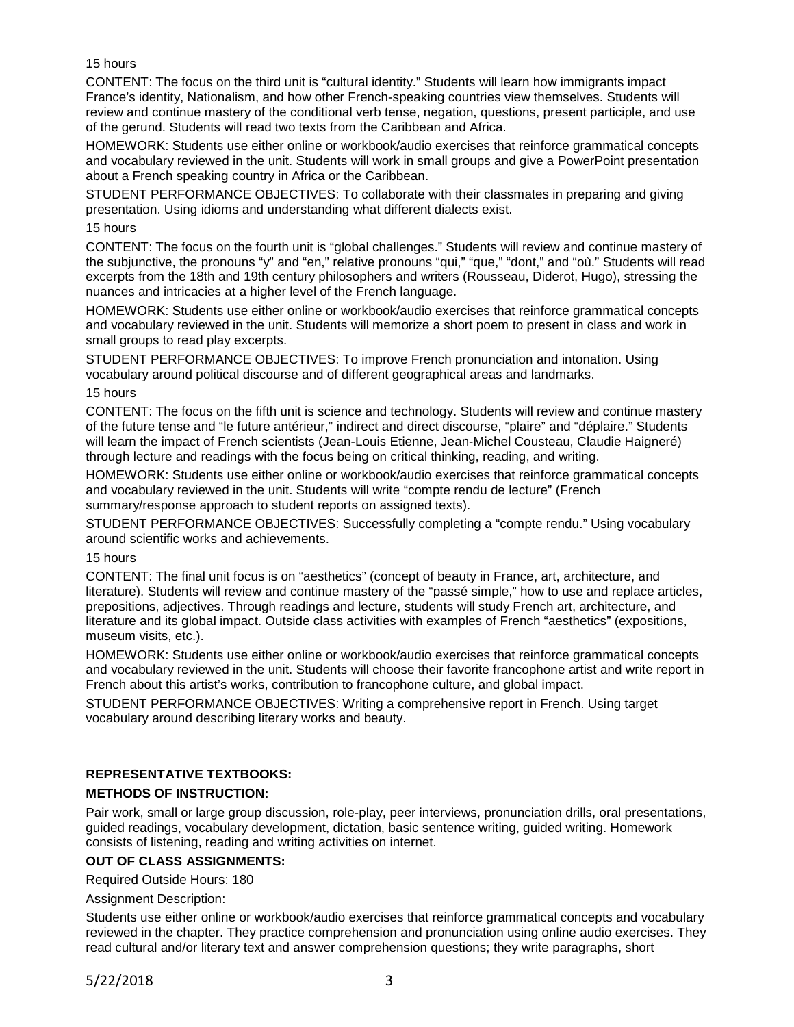## 15 hours

CONTENT: The focus on the third unit is "cultural identity." Students will learn how immigrants impact France's identity, Nationalism, and how other French-speaking countries view themselves. Students will review and continue mastery of the conditional verb tense, negation, questions, present participle, and use of the gerund. Students will read two texts from the Caribbean and Africa.

HOMEWORK: Students use either online or workbook/audio exercises that reinforce grammatical concepts and vocabulary reviewed in the unit. Students will work in small groups and give a PowerPoint presentation about a French speaking country in Africa or the Caribbean.

STUDENT PERFORMANCE OBJECTIVES: To collaborate with their classmates in preparing and giving presentation. Using idioms and understanding what different dialects exist.

#### 15 hours

CONTENT: The focus on the fourth unit is "global challenges." Students will review and continue mastery of the subjunctive, the pronouns "y" and "en," relative pronouns "qui," "que," "dont," and "où." Students will read excerpts from the 18th and 19th century philosophers and writers (Rousseau, Diderot, Hugo), stressing the nuances and intricacies at a higher level of the French language.

HOMEWORK: Students use either online or workbook/audio exercises that reinforce grammatical concepts and vocabulary reviewed in the unit. Students will memorize a short poem to present in class and work in small groups to read play excerpts.

STUDENT PERFORMANCE OBJECTIVES: To improve French pronunciation and intonation. Using vocabulary around political discourse and of different geographical areas and landmarks.

#### 15 hours

CONTENT: The focus on the fifth unit is science and technology. Students will review and continue mastery of the future tense and "le future antérieur," indirect and direct discourse, "plaire" and "déplaire." Students will learn the impact of French scientists (Jean-Louis Etienne, Jean-Michel Cousteau, Claudie Haigneré) through lecture and readings with the focus being on critical thinking, reading, and writing.

HOMEWORK: Students use either online or workbook/audio exercises that reinforce grammatical concepts and vocabulary reviewed in the unit. Students will write "compte rendu de lecture" (French summary/response approach to student reports on assigned texts).

STUDENT PERFORMANCE OBJECTIVES: Successfully completing a "compte rendu." Using vocabulary around scientific works and achievements.

#### 15 hours

CONTENT: The final unit focus is on "aesthetics" (concept of beauty in France, art, architecture, and literature). Students will review and continue mastery of the "passé simple," how to use and replace articles, prepositions, adjectives. Through readings and lecture, students will study French art, architecture, and literature and its global impact. Outside class activities with examples of French "aesthetics" (expositions, museum visits, etc.).

HOMEWORK: Students use either online or workbook/audio exercises that reinforce grammatical concepts and vocabulary reviewed in the unit. Students will choose their favorite francophone artist and write report in French about this artist's works, contribution to francophone culture, and global impact.

STUDENT PERFORMANCE OBJECTIVES: Writing a comprehensive report in French. Using target vocabulary around describing literary works and beauty.

# **REPRESENTATIVE TEXTBOOKS:**

## **METHODS OF INSTRUCTION:**

Pair work, small or large group discussion, role-play, peer interviews, pronunciation drills, oral presentations, guided readings, vocabulary development, dictation, basic sentence writing, guided writing. Homework consists of listening, reading and writing activities on internet.

## **OUT OF CLASS ASSIGNMENTS:**

Required Outside Hours: 180

## Assignment Description:

Students use either online or workbook/audio exercises that reinforce grammatical concepts and vocabulary reviewed in the chapter. They practice comprehension and pronunciation using online audio exercises. They read cultural and/or literary text and answer comprehension questions; they write paragraphs, short